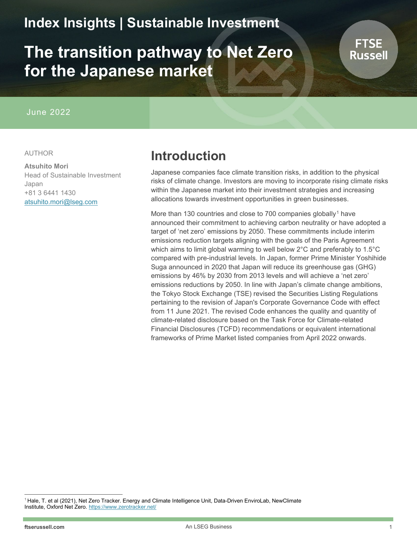# **Index Insights | Sustainable Investment**

# **The transition pathway to Net Zero for the Japanese market**

### June 2022

#### AUTHOR

#### **Atsuhito Mori**

Head of Sustainable Investment Japan +81 3 6441 1430 [atsuhito.mori@lseg.com](mailto:atsuhito.mori@lseg.com)

# **Introduction**

Japanese companies face climate transition risks, in addition to the physical risks of climate change. Investors are moving to incorporate rising climate risks within the Japanese market into their investment strategies and increasing allocations towards investment opportunities in green businesses.

More than [1](#page-0-0)30 countries and close to 700 companies globally<sup>1</sup> have announced their commitment to achieving carbon neutrality or have adopted a target of 'net zero' emissions by 2050. These commitments include interim emissions reduction targets aligning with the goals of the Paris Agreement which aims to limit global warming to well below 2°C and preferably to 1.5°C compared with pre-industrial levels. In Japan, former Prime Minister Yoshihide Suga announced in 2020 that Japan will reduce its greenhouse gas (GHG) emissions by 46% by 2030 from 2013 levels and will achieve a 'net zero' emissions reductions by 2050. In line with Japan's climate change ambitions, the Tokyo Stock Exchange (TSE) revised the Securities Listing Regulations pertaining to the revision of Japan's Corporate Governance Code with effect from 11 June 2021. The revised Code enhances the quality and quantity of climate-related disclosure based on the Task Force for Climate-related Financial Disclosures (TCFD) recommendations or equivalent international frameworks of Prime Market listed companies from April 2022 onwards.

**FTSE** Russell

<span id="page-0-0"></span><sup>1</sup> Hale, T. et al (2021), Net Zero Tracker. Energy and Climate Intelligence Unit, Data-Driven EnviroLab, NewClimate Institute, Oxford Net Zero[. https://www.zerotracker.net/](https://www.zerotracker.net/)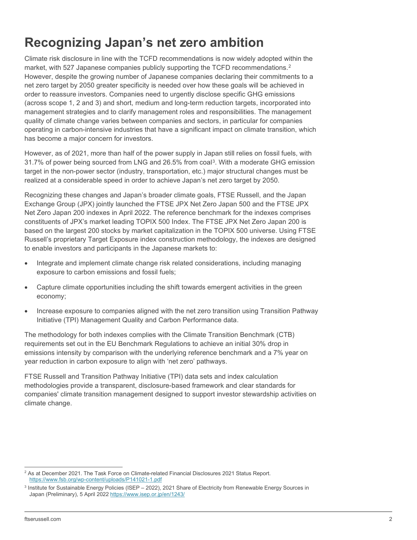# **Recognizing Japan's net zero ambition**

Climate risk disclosure in line with the TCFD recommendations is now widely adopted within the market, with 5[2](#page-1-0)7 Japanese companies publicly supporting the TCFD recommendations.<sup>2</sup> However, despite the growing number of Japanese companies declaring their commitments to a net zero target by 2050 greater specificity is needed over how these goals will be achieved in order to reassure investors. Companies need to urgently disclose specific GHG emissions (across scope 1, 2 and 3) and short, medium and long-term reduction targets, incorporated into management strategies and to clarify management roles and responsibilities. The management quality of climate change varies between companies and sectors, in particular for companies operating in carbon-intensive industries that have a significant impact on climate transition, which has become a major concern for investors.

However, as of 2021, more than half of the power supply in Japan still relies on fossil fuels, with 31.7% of power being sourced from LNG and 26.5% from coal[3.](#page-1-1) With a moderate GHG emission target in the non-power sector (industry, transportation, etc.) major structural changes must be realized at a considerable speed in order to achieve Japan's net zero target by 2050.

Recognizing these changes and Japan's broader climate goals, FTSE Russell, and the Japan Exchange Group (JPX) jointly launched the FTSE JPX Net Zero Japan 500 and the FTSE JPX Net Zero Japan 200 indexes in April 2022. The reference benchmark for the indexes comprises constituents of JPX's market leading TOPIX 500 Index. The FTSE JPX Net Zero Japan 200 is based on the largest 200 stocks by market capitalization in the TOPIX 500 universe. Using FTSE Russell's proprietary Target Exposure index construction methodology, the indexes are designed to enable investors and participants in the Japanese markets to:

- Integrate and implement climate change risk related considerations, including managing exposure to carbon emissions and fossil fuels;
- Capture climate opportunities including the shift towards emergent activities in the green economy;
- Increase exposure to companies aligned with the net zero transition using Transition Pathway Initiative (TPI) Management Quality and Carbon Performance data.

The methodology for both indexes complies with the Climate Transition Benchmark (CTB) requirements set out in the EU Benchmark Regulations to achieve an initial 30% drop in emissions intensity by comparison with the underlying reference benchmark and a 7% year on year reduction in carbon exposure to align with 'net zero' pathways.

FTSE Russell and Transition Pathway Initiative (TPI) data sets and index calculation methodologies provide a transparent, disclosure-based framework and clear standards for companies' climate transition management designed to support investor stewardship activities on climate change.

<span id="page-1-0"></span><sup>&</sup>lt;sup>2</sup> As at December 2021. The Task Force on Climate-related Financial Disclosures 2021 Status Report. <https://www.fsb.org/wp-content/uploads/P141021-1.pdf>

<span id="page-1-1"></span> $3$  Institute for Sustainable Energy Policies (ISEP  $-$  2022), 2021 Share of Electricity from Renewable Energy Sources in Japan (Preliminary), 5 April 2022<https://www.isep.or.jp/en/1243/>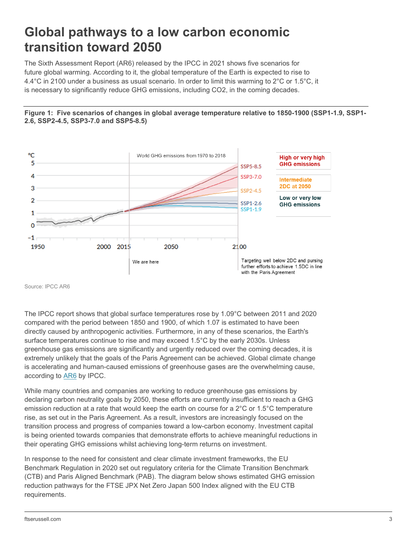# **Global pathways to a low carbon economic transition toward 2050**

The Sixth Assessment Report (AR6) released by the IPCC in 2021 shows five scenarios for future global warming. According to it, the global temperature of the Earth is expected to rise to 4.4°C in 2100 under a business as usual scenario. In order to limit this warming to 2°C or 1.5°C, it is necessary to significantly reduce GHG emissions, including CO2, in the coming decades.

#### **Figure 1: Five scenarios of changes in global average temperature relative to 1850-1900 (SSP1-1.9, SSP1- 2.6, SSP2-4.5, SSP3-7.0 and SSP5-8.5)**



Source: IPCC AR6

The IPCC report shows that global surface temperatures rose by 1.09°C between 2011 and 2020 compared with the period between 1850 and 1900, of which 1.07 is estimated to have been directly caused by anthropogenic activities. Furthermore, in any of these scenarios, the Earth's surface temperatures continue to rise and may exceed 1.5°C by the early 2030s. Unless greenhouse gas emissions are significantly and urgently reduced over the coming decades, it is extremely unlikely that the goals of the Paris Agreement can be achieved. Global climate change is accelerating and human-caused emissions of greenhouse gases are the overwhelming cause, according to [AR6](https://www.ipcc.ch/report/ar6/wg1/) by IPCC.

While many countries and companies are working to reduce greenhouse gas emissions by declaring carbon neutrality goals by 2050, these efforts are currently insufficient to reach a GHG emission reduction at a rate that would keep the earth on course for a 2°C or 1.5°C temperature rise, as set out in the Paris Agreement. As a result, investors are increasingly focused on the transition process and progress of companies toward a low-carbon economy. Investment capital is being oriented towards companies that demonstrate efforts to achieve meaningful reductions in their operating GHG emissions whilst achieving long-term returns on investment.

In response to the need for consistent and clear climate investment frameworks, the EU Benchmark Regulation in 2020 set out regulatory criteria for the Climate Transition Benchmark (CTB) and Paris Aligned Benchmark (PAB). The diagram below shows estimated GHG emission reduction pathways for the FTSE JPX Net Zero Japan 500 Index aligned with the EU CTB requirements.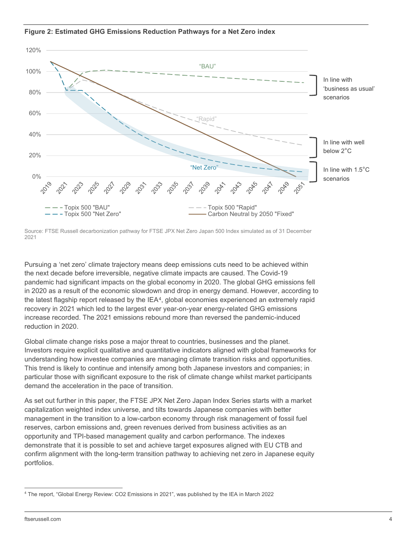

**Figure 2: Estimated GHG Emissions Reduction Pathways for a Net Zero index**

Source: FTSE Russell decarbonization pathway for FTSE JPX Net Zero Japan 500 Index simulated as of 31 December 2021

Pursuing a 'net zero' climate trajectory means deep emissions cuts need to be achieved within the next decade before irreversible, negative climate impacts are caused. The Covid-19 pandemic had significant impacts on the global economy in 2020. The global GHG emissions fell in 2020 as a result of the economic slowdown and drop in energy demand. However, according to the latest flagship report released by the IEA[4,](#page-3-0) global economies experienced an extremely rapid recovery in 2021 which led to the largest ever year-on-year energy-related GHG emissions increase recorded. The 2021 emissions rebound more than reversed the pandemic-induced reduction in 2020.

Global climate change risks pose a major threat to countries, businesses and the planet. Investors require explicit qualitative and quantitative indicators aligned with global frameworks for understanding how investee companies are managing climate transition risks and opportunities. This trend is likely to continue and intensify among both Japanese investors and companies; in particular those with significant exposure to the risk of climate change whilst market participants demand the acceleration in the pace of transition.

As set out further in this paper, the FTSE JPX Net Zero Japan Index Series starts with a market capitalization weighted index universe, and tilts towards Japanese companies with better management in the transition to a low-carbon economy through risk management of fossil fuel reserves, carbon emissions and, green revenues derived from business activities as an opportunity and TPI-based management quality and carbon performance. The indexes demonstrate that it is possible to set and achieve target exposures aligned with EU CTB and confirm alignment with the long-term transition pathway to achieving net zero in Japanese equity portfolios.

<span id="page-3-0"></span><sup>4</sup> The report, "Global Energy Review: CO2 Emissions in 2021", was published by the IEA in March 2022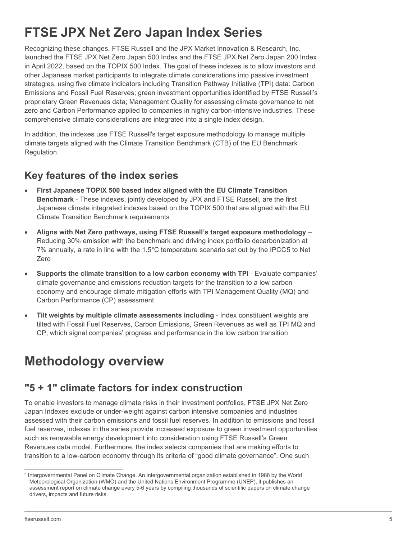# **FTSE JPX Net Zero Japan Index Series**

Recognizing these changes, FTSE Russell and the JPX Market Innovation & Research, Inc. launched the FTSE JPX Net Zero Japan 500 Index and the FTSE JPX Net Zero Japan 200 Index in April 2022, based on the TOPIX 500 Index. The goal of these indexes is to allow investors and other Japanese market participants to integrate climate considerations into passive investment strategies, using five climate indicators including Transition Pathway Initiative (TPI) data: Carbon Emissions and Fossil Fuel Reserves; green investment opportunities identified by FTSE Russell's proprietary Green Revenues data; Management Quality for assessing climate governance to net zero and Carbon Performance applied to companies in highly carbon-intensive industries. These comprehensive climate considerations are integrated into a single index design.

In addition, the indexes use FTSE Russell's target exposure methodology to manage multiple climate targets aligned with the Climate Transition Benchmark (CTB) of the EU Benchmark Regulation.

# **Key features of the index series**

- **First Japanese TOPIX 500 based index aligned with the EU Climate Transition Benchmark** - These indexes, jointly developed by JPX and FTSE Russell, are the first Japanese climate integrated indexes based on the TOPIX 500 that are aligned with the EU Climate Transition Benchmark requirements
- **Aligns with Net Zero pathways, using FTSE Russell's target exposure methodology** Reducing 30% emission with the benchmark and driving index portfolio decarbonization at 7% annually, a rate in line with the 1.5°C temperature scenario set out by the IPCC[5](#page-4-0) to Net Zero
- **Supports the climate transition to a low carbon economy with TPI** Evaluate companies' climate governance and emissions reduction targets for the transition to a low carbon economy and encourage climate mitigation efforts with TPI Management Quality (MQ) and Carbon Performance (CP) assessment
- **Tilt weights by multiple climate assessments including** Index constituent weights are tilted with Fossil Fuel Reserves, Carbon Emissions, Green Revenues as well as TPI MQ and CP, which signal companies' progress and performance in the low carbon transition

# **Methodology overview**

# **"5 + 1" climate factors for index construction**

To enable investors to manage climate risks in their investment portfolios, FTSE JPX Net Zero Japan Indexes exclude or under-weight against carbon intensive companies and industries assessed with their carbon emissions and fossil fuel reserves. In addition to emissions and fossil fuel reserves, indexes in the series provide increased exposure to green investment opportunities such as renewable energy development into consideration using FTSE Russell's Green Revenues data model. Furthermore, the index selects companies that are making efforts to transition to a low-carbon economy through its criteria of "good climate governance". One such

<span id="page-4-0"></span><sup>5</sup> Intergovernmental Panel on Climate Change. An intergovernmental organization established in 1988 by the World Meteorological Organization (WMO) and the United Nations Environment Programme (UNEP), it publishes an assessment report on climate change every 5-6 years by compiling thousands of scientific papers on climate change drivers, impacts and future risks.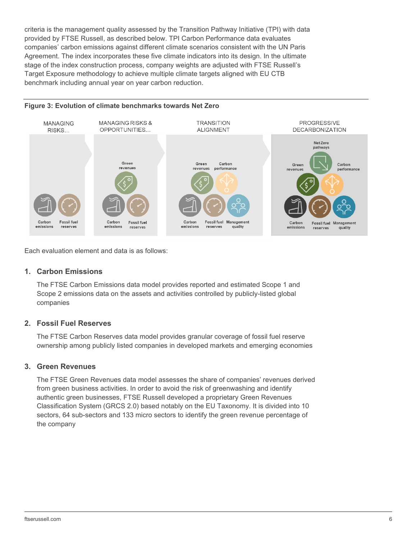criteria is the management quality assessed by the Transition Pathway Initiative (TPI) with data provided by FTSE Russell, as described below. TPI Carbon Performance data evaluates companies' carbon emissions against different climate scenarios consistent with the UN Paris Agreement. The index incorporates these five climate indicators into its design. In the ultimate stage of the index construction process, company weights are adjusted with FTSE Russell's Target Exposure methodology to achieve multiple climate targets aligned with EU CTB benchmark including annual year on year carbon reduction.

#### **Figure 3: Evolution of climate benchmarks towards Net Zero**



Each evaluation element and data is as follows:

### **1. Carbon Emissions**

The FTSE Carbon Emissions data model provides reported and estimated Scope 1 and Scope 2 emissions data on the assets and activities controlled by publicly-listed global companies

#### **2. Fossil Fuel Reserves**

The FTSE Carbon Reserves data model provides granular coverage of fossil fuel reserve ownership among publicly listed companies in developed markets and emerging economies

#### **3. Green Revenues**

The FTSE Green Revenues data model assesses the share of companies' revenues derived from green business activities. In order to avoid the risk of greenwashing and identify authentic green businesses, FTSE Russell developed a proprietary Green Revenues Classification System (GRCS 2.0) based notably on the EU Taxonomy. It is divided into 10 sectors, 64 sub-sectors and 133 micro sectors to identify the green revenue percentage of the company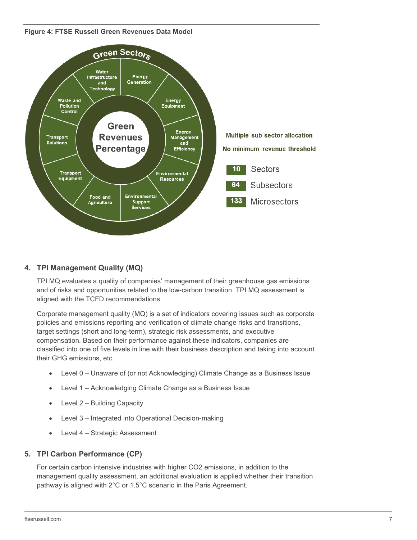**Figure 4: FTSE Russell Green Revenues Data Model**



## **4. TPI Management Quality (MQ)**

TPI MQ evaluates a quality of companies' management of their greenhouse gas emissions and of risks and opportunities related to the low-carbon transition. TPI MQ assessment is aligned with the TCFD recommendations.

Corporate management quality (MQ) is a set of indicators covering issues such as corporate policies and emissions reporting and verification of climate change risks and transitions, target settings (short and long-term), strategic risk assessments, and executive compensation. Based on their performance against these indicators, companies are classified into one of five levels in line with their business description and taking into account their GHG emissions, etc.

- Level 0 Unaware of (or not Acknowledging) Climate Change as a Business Issue
- Level 1 Acknowledging Climate Change as a Business Issue
- Level 2 Building Capacity
- Level 3 Integrated into Operational Decision-making
- Level 4 Strategic Assessment

### **5. TPI Carbon Performance (CP)**

For certain carbon intensive industries with higher CO2 emissions, in addition to the management quality assessment, an additional evaluation is applied whether their transition pathway is aligned with 2°C or 1.5°C scenario in the Paris Agreement.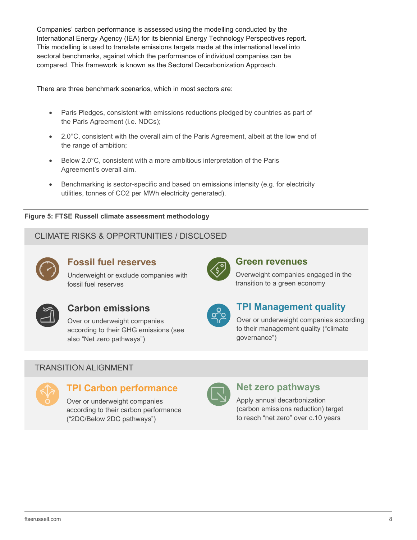Companies' carbon performance is assessed using the modelling conducted by the International Energy Agency (IEA) for its biennial Energy Technology Perspectives report. This modelling is used to translate emissions targets made at the international level into sectoral benchmarks, against which the performance of individual companies can be compared. This framework is known as the Sectoral Decarbonization Approach.

There are three benchmark scenarios, which in most sectors are:

- Paris Pledges, consistent with emissions reductions pledged by countries as part of the Paris Agreement (i.e. NDCs);
- 2.0°C, consistent with the overall aim of the Paris Agreement, albeit at the low end of the range of ambition;
- Below 2.0°C, consistent with a more ambitious interpretation of the Paris Agreement's overall aim.
- Benchmarking is sector-specific and based on emissions intensity (e.g. for electricity utilities, tonnes of CO2 per MWh electricity generated).

#### **Figure 5: FTSE Russell climate assessment methodology**

## CLIMATE RISKS & OPPORTUNITIES / DISCLOSED



## **Fossil fuel reserves**

Underweight or exclude companies with fossil fuel reserves



## **Carbon emissions**

Over or underweight companies according to their GHG emissions (see also "Net zero pathways")



### **Green revenues**

Overweight companies engaged in the transition to a green economy



## **TPI Management quality**

Over or underweight companies according to their management quality ("climate governance")

## TRANSITION ALIGNMENT



## **TPI Carbon performance**

Over or underweight companies according to their carbon performance ("2DC/Below 2DC pathways")



# **Net zero pathways**

Apply annual decarbonization (carbon emissions reduction) target to reach "net zero" over c.10 years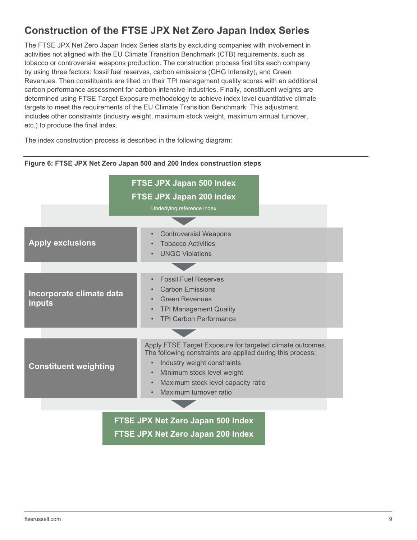# **Construction of the FTSE JPX Net Zero Japan Index Series**

The FTSE JPX Net Zero Japan Index Series starts by excluding companies with involvement in activities not aligned with the EU Climate Transition Benchmark (CTB) requirements, such as tobacco or controversial weapons production. The construction process first tilts each company by using three factors: fossil fuel reserves, carbon emissions (GHG Intensity), and Green Revenues. Then constituents are tilted on their TPI management quality scores with an additional carbon performance assessment for carbon-intensive industries. Finally, constituent weights are determined using FTSE Target Exposure methodology to achieve index level quantitative climate targets to meet the requirements of the EU Climate Transition Benchmark. This adjustment includes other constraints (industry weight, maximum stock weight, maximum annual turnover, etc.) to produce the final index.

The index construction process is described in the following diagram:

|                                           | FTSE JPX Japan 500 Index<br><b>FTSE JPX Japan 200 Index</b><br>Underlying reference index                                                                                                                                                                                                                |  |  |  |  |
|-------------------------------------------|----------------------------------------------------------------------------------------------------------------------------------------------------------------------------------------------------------------------------------------------------------------------------------------------------------|--|--|--|--|
| <b>Apply exclusions</b>                   | <b>Controversial Weapons</b><br>$\bullet$<br><b>Tobacco Activities</b><br><b>UNGC Violations</b><br>$\bullet$                                                                                                                                                                                            |  |  |  |  |
| Incorporate climate data<br><b>inputs</b> | <b>Fossil Fuel Reserves</b><br>$\bullet$<br><b>Carbon Emissions</b><br><b>Green Revenues</b><br><b>TPI Management Quality</b><br>$\bullet$<br><b>TPI Carbon Performance</b><br>$\bullet$                                                                                                                 |  |  |  |  |
| <b>Constituent weighting</b>              | Apply FTSE Target Exposure for targeted climate outcomes.<br>The following constraints are applied during this process:<br>Industry weight constraints<br>$\bullet$<br>Minimum stock level weight<br>$\bullet$<br>Maximum stock level capacity ratio<br>$\bullet$<br>Maximum turnover ratio<br>$\bullet$ |  |  |  |  |
| ETCE IDY Not Zoro Janan 600 Indox         |                                                                                                                                                                                                                                                                                                          |  |  |  |  |

### **Figure 6: FTSE JPX Net Zero Japan 500 and 200 Index construction steps**

**FTSE JPX Net Zero Japan 500 Index FTSE JPX Net Zero Japan 200 Index**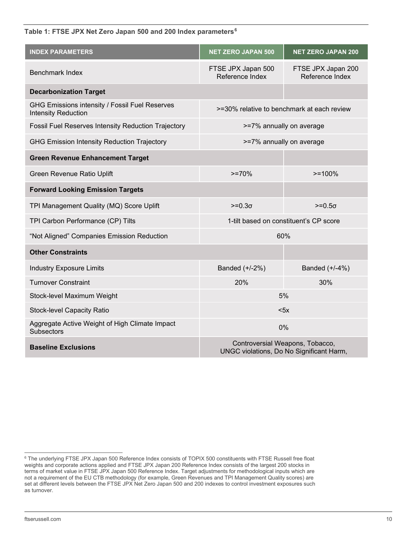**Table 1: FTSE JPX Net Zero Japan 500 and 200 Index parameters[6](#page-9-0)**

| <b>INDEX PARAMETERS</b>                                                      | <b>NET ZERO JAPAN 500</b>                                                   | <b>NET ZERO JAPAN 200</b>             |  |  |
|------------------------------------------------------------------------------|-----------------------------------------------------------------------------|---------------------------------------|--|--|
| <b>Benchmark Index</b>                                                       | FTSE JPX Japan 500<br>Reference Index                                       | FTSE JPX Japan 200<br>Reference Index |  |  |
| <b>Decarbonization Target</b>                                                |                                                                             |                                       |  |  |
| GHG Emissions intensity / Fossil Fuel Reserves<br><b>Intensity Reduction</b> | >=30% relative to benchmark at each review                                  |                                       |  |  |
| <b>Fossil Fuel Reserves Intensity Reduction Trajectory</b>                   | >=7% annually on average                                                    |                                       |  |  |
| <b>GHG Emission Intensity Reduction Trajectory</b>                           | >=7% annually on average                                                    |                                       |  |  |
| <b>Green Revenue Enhancement Target</b>                                      |                                                                             |                                       |  |  |
| Green Revenue Ratio Uplift                                                   | $>=70%$                                                                     |                                       |  |  |
| <b>Forward Looking Emission Targets</b>                                      |                                                                             |                                       |  |  |
| TPI Management Quality (MQ) Score Uplift                                     | $>=0.3\sigma$                                                               | $>=0.5\sigma$                         |  |  |
| TPI Carbon Performance (CP) Tilts                                            | 1-tilt based on constituent's CP score                                      |                                       |  |  |
| "Not Aligned" Companies Emission Reduction                                   | 60%                                                                         |                                       |  |  |
| <b>Other Constraints</b>                                                     |                                                                             |                                       |  |  |
| <b>Industry Exposure Limits</b>                                              | Banded (+/-2%)                                                              | Banded (+/-4%)                        |  |  |
| <b>Turnover Constraint</b>                                                   | 20%                                                                         | 30%                                   |  |  |
| Stock-level Maximum Weight                                                   | 5%                                                                          |                                       |  |  |
| <b>Stock-level Capacity Ratio</b>                                            | < 5x                                                                        |                                       |  |  |
| Aggregate Active Weight of High Climate Impact<br><b>Subsectors</b>          | 0%                                                                          |                                       |  |  |
| <b>Baseline Exclusions</b>                                                   | Controversial Weapons, Tobacco,<br>UNGC violations, Do No Significant Harm, |                                       |  |  |

<span id="page-9-0"></span><sup>6</sup> The underlying FTSE JPX Japan 500 Reference Index consists of TOPIX 500 constituents with FTSE Russell free float weights and corporate actions applied and FTSE JPX Japan 200 Reference Index consists of the largest 200 stocks in terms of market value in FTSE JPX Japan 500 Reference Index. Target adjustments for methodological inputs which are not a requirement of the EU CTB methodology (for example, Green Revenues and TPI Management Quality scores) are set at different levels between the FTSE JPX Net Zero Japan 500 and 200 indexes to control investment exposures such as turnover.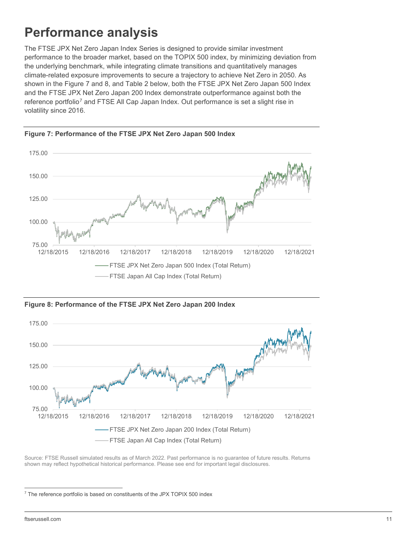# **Performance analysis**

The FTSE JPX Net Zero Japan Index Series is designed to provide similar investment performance to the broader market, based on the TOPIX 500 index, by minimizing deviation from the underlying benchmark, while integrating climate transitions and quantitatively manages climate-related exposure improvements to secure a trajectory to achieve Net Zero in 2050. As shown in the Figure 7 and 8, and Table 2 below, both the FTSE JPX Net Zero Japan 500 Index and the FTSE JPX Net Zero Japan 200 Index demonstrate outperformance against both the reference portfolio[7](#page-10-0) and FTSE All Cap Japan Index. Out performance is set a slight rise in volatility since 2016.





**Figure 8: Performance of the FTSE JPX Net Zero Japan 200 Index**



Source: FTSE Russell simulated results as of March 2022. Past performance is no guarantee of future results. Returns shown may reflect hypothetical historical performance. Please see end for important legal disclosures.

<span id="page-10-0"></span> $7$  The reference portfolio is based on constituents of the JPX TOPIX 500 index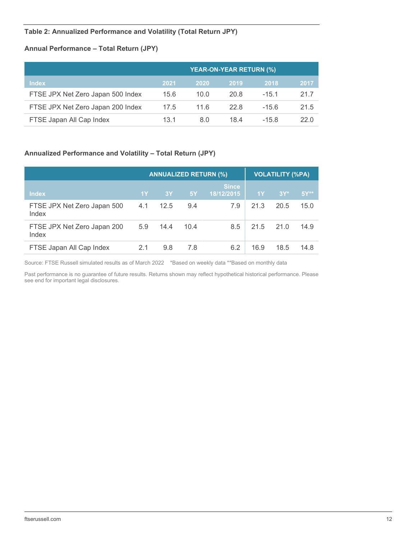### **Table 2: Annualized Performance and Volatility (Total Return JPY)**

### **Annual Performance – Total Return (JPY)**

|                                   | <b>YEAR-ON-YEAR RETURN (%)</b> |      |      |         |      |  |
|-----------------------------------|--------------------------------|------|------|---------|------|--|
| <b>Index</b>                      | 2021                           | 2020 | 2019 | 2018    | 2017 |  |
| FTSE JPX Net Zero Japan 500 Index | 15.6                           | 10.0 | 20.8 | $-15.1$ | 21.7 |  |
| FTSE JPX Net Zero Japan 200 Index | 17.5                           | 11.6 | 22 R | $-15.6$ | 21.5 |  |
| FTSE Japan All Cap Index          | 13.1                           | 8.0  | 184  | $-15.8$ | 22.0 |  |

### **Annualized Performance and Volatility – Total Return (JPY)**

|                                      |     |      | <b>ANNUALIZED RETURN (%)</b> | <b>VOLATILITY (%PA)</b> |      |        |                   |
|--------------------------------------|-----|------|------------------------------|-------------------------|------|--------|-------------------|
| <b>Index</b>                         | 1Y  | 3Y   | 5Y                           | Since<br>18/12/2015     | 1Y   | $3Y^*$ | $5Y^{\star\star}$ |
| FTSE JPX Net Zero Japan 500<br>Index | 4.1 | 12.5 | 9.4                          | 7.9                     | 21.3 | 20.5   | 15.0              |
| FTSE JPX Net Zero Japan 200<br>Index | 5.9 | 14.4 | 10.4                         | 8.5                     | 21.5 | 21.0   | 14.9              |
| FTSE Japan All Cap Index             | 2.1 | 9.8  | 7.8                          | 6.2                     | 16.9 | 18.5   | 14.8              |

Source: FTSE Russell simulated results as of March 2022 \*Based on weekly data \*\*Based on monthly data

Past performance is no guarantee of future results. Returns shown may reflect hypothetical historical performance. Please see end for important legal disclosures.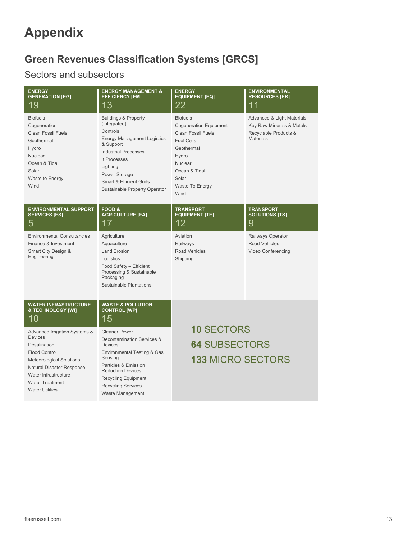# **Appendix**

# **Green Revenues Classification Systems [GRCS]**

# Sectors and subsectors

| <b>ENERGY</b><br><b>GENERATION [EG]</b><br>19                                                                                                                                                                                       | <b>ENERGY MANAGEMENT &amp;</b><br><b>EFFICIENCY [EM]</b><br>13                                                                                                                                                                                                    | <b>ENERGY</b><br><b>EQUIPMENT [EQ]</b><br>22                                                                                                                                              | <b>ENVIRONMENTAL</b><br><b>RESOURCES [ER]</b><br>11                                                             |
|-------------------------------------------------------------------------------------------------------------------------------------------------------------------------------------------------------------------------------------|-------------------------------------------------------------------------------------------------------------------------------------------------------------------------------------------------------------------------------------------------------------------|-------------------------------------------------------------------------------------------------------------------------------------------------------------------------------------------|-----------------------------------------------------------------------------------------------------------------|
| <b>Biofuels</b><br>Cogeneration<br><b>Clean Fossil Fuels</b><br>Geothermal<br>Hydro<br>Nuclear<br>Ocean & Tidal<br>Solar<br>Waste to Energy<br>Wind                                                                                 | <b>Buildings &amp; Property</b><br>(Integrated)<br>Controls<br><b>Energy Management Logistics</b><br>& Support<br><b>Industrial Processes</b><br>It Processes<br>Lighting<br>Power Storage<br><b>Smart &amp; Efficient Grids</b><br>Sustainable Property Operator | <b>Biofuels</b><br><b>Cogeneration Equipment</b><br><b>Clean Fossil Fuels</b><br><b>Fuel Cells</b><br>Geothermal<br>Hydro<br>Nuclear<br>Ocean & Tidal<br>Solar<br>Waste To Energy<br>Wind | <b>Advanced &amp; Light Materials</b><br>Key Raw Minerals & Metals<br>Recyclable Products &<br><b>Materials</b> |
| <b>ENVIRONMENTAL SUPPORT</b><br><b>SERVICES [ES]</b><br>5                                                                                                                                                                           | <b>FOOD &amp;</b><br><b>AGRICULTURE [FA]</b><br>17                                                                                                                                                                                                                | <b>TRANSPORT</b><br><b>EQUIPMENT [TE]</b><br>12                                                                                                                                           | <b>TRANSPORT</b><br><b>SOLUTIONS [TS]</b><br>9                                                                  |
| <b>Environmental Consultancies</b><br>Finance & Investment<br>Smart City Design &<br>Engineering                                                                                                                                    | Agriculture<br>Aquaculture<br><b>Land Erosion</b><br>Logistics<br>Food Safety - Efficient<br>Processing & Sustainable<br>Packaging<br>Sustainable Plantations                                                                                                     | Aviation<br>Railways<br><b>Road Vehicles</b><br>Shipping                                                                                                                                  | Railways Operator<br><b>Road Vehicles</b><br>Video Conferencing                                                 |
| <b>WATER INFRASTRUCTURE</b><br>& TECHNOLOGY [WI]<br>10                                                                                                                                                                              | <b>WASTE &amp; POLLUTION</b><br><b>CONTROL [WP]</b><br>15                                                                                                                                                                                                         |                                                                                                                                                                                           |                                                                                                                 |
| Advanced Irrigation Systems &<br><b>Devices</b><br>Desalination<br><b>Flood Control</b><br><b>Meteorological Solutions</b><br>Natural Disaster Response<br>Water Infrastructure<br><b>Water Treatment</b><br><b>Water Utilities</b> | <b>Cleaner Power</b><br>Decontamination Services &<br><b>Devices</b><br>Environmental Testing & Gas<br>Sensing<br>Particles & Emission<br><b>Reduction Devices</b><br><b>Recycling Equipment</b><br><b>Recycling Services</b><br>Waste Management                 | <b>10 SECTORS</b><br><b>64 SUBSECTORS</b><br><b>133 MICRO SECTORS</b>                                                                                                                     |                                                                                                                 |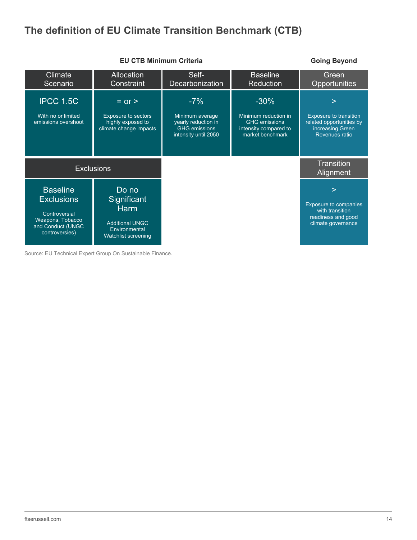# **The definition of EU Climate Transition Benchmark (CTB)**



Source: EU Technical Expert Group On Sustainable Finance.